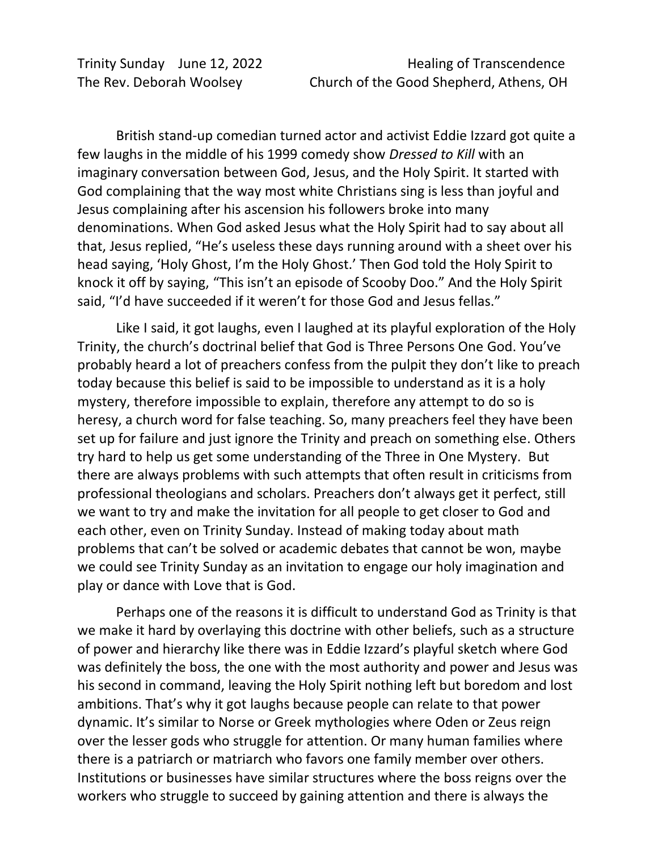British stand-up comedian turned actor and activist Eddie Izzard got quite a few laughs in the middle of his 1999 comedy show *Dressed to Kill* with an imaginary conversation between God, Jesus, and the Holy Spirit. It started with God complaining that the way most white Christians sing is less than joyful and Jesus complaining after his ascension his followers broke into many denominations. When God asked Jesus what the Holy Spirit had to say about all that, Jesus replied, "He's useless these days running around with a sheet over his head saying, 'Holy Ghost, I'm the Holy Ghost.' Then God told the Holy Spirit to knock it off by saying, "This isn't an episode of Scooby Doo." And the Holy Spirit said, "I'd have succeeded if it weren't for those God and Jesus fellas."

Like I said, it got laughs, even I laughed at its playful exploration of the Holy Trinity, the church's doctrinal belief that God is Three Persons One God. You've probably heard a lot of preachers confess from the pulpit they don't like to preach today because this belief is said to be impossible to understand as it is a holy mystery, therefore impossible to explain, therefore any attempt to do so is heresy, a church word for false teaching. So, many preachers feel they have been set up for failure and just ignore the Trinity and preach on something else. Others try hard to help us get some understanding of the Three in One Mystery. But there are always problems with such attempts that often result in criticisms from professional theologians and scholars. Preachers don't always get it perfect, still we want to try and make the invitation for all people to get closer to God and each other, even on Trinity Sunday. Instead of making today about math problems that can't be solved or academic debates that cannot be won, maybe we could see Trinity Sunday as an invitation to engage our holy imagination and play or dance with Love that is God.

Perhaps one of the reasons it is difficult to understand God as Trinity is that we make it hard by overlaying this doctrine with other beliefs, such as a structure of power and hierarchy like there was in Eddie Izzard's playful sketch where God was definitely the boss, the one with the most authority and power and Jesus was his second in command, leaving the Holy Spirit nothing left but boredom and lost ambitions. That's why it got laughs because people can relate to that power dynamic. It's similar to Norse or Greek mythologies where Oden or Zeus reign over the lesser gods who struggle for attention. Or many human families where there is a patriarch or matriarch who favors one family member over others. Institutions or businesses have similar structures where the boss reigns over the workers who struggle to succeed by gaining attention and there is always the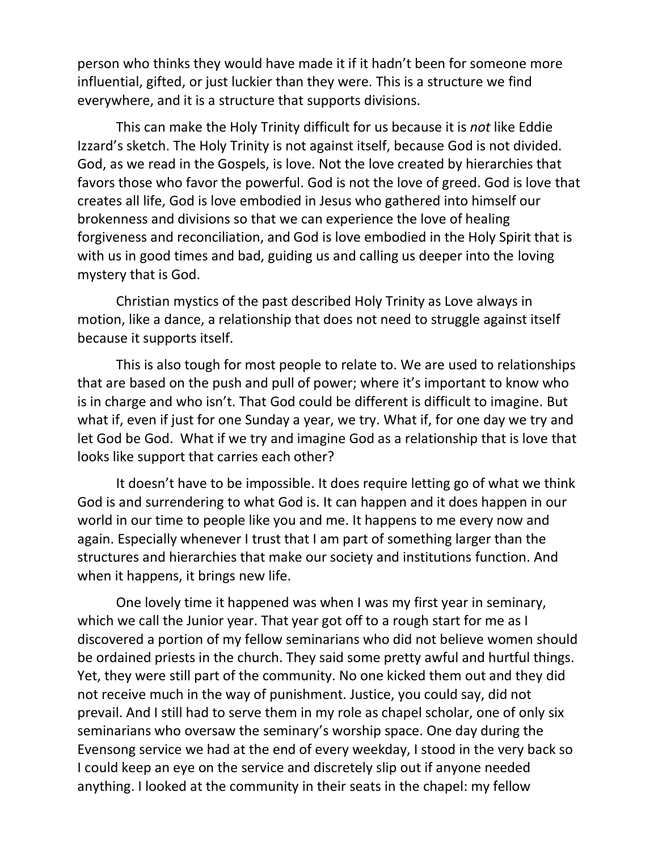person who thinks they would have made it if it hadn't been for someone more influential, gifted, or just luckier than they were. This is a structure we find everywhere, and it is a structure that supports divisions.

This can make the Holy Trinity difficult for us because it is *not* like Eddie Izzard's sketch. The Holy Trinity is not against itself, because God is not divided. God, as we read in the Gospels, is love. Not the love created by hierarchies that favors those who favor the powerful. God is not the love of greed. God is love that creates all life, God is love embodied in Jesus who gathered into himself our brokenness and divisions so that we can experience the love of healing forgiveness and reconciliation, and God is love embodied in the Holy Spirit that is with us in good times and bad, guiding us and calling us deeper into the loving mystery that is God.

Christian mystics of the past described Holy Trinity as Love always in motion, like a dance, a relationship that does not need to struggle against itself because it supports itself.

This is also tough for most people to relate to. We are used to relationships that are based on the push and pull of power; where it's important to know who is in charge and who isn't. That God could be different is difficult to imagine. But what if, even if just for one Sunday a year, we try. What if, for one day we try and let God be God. What if we try and imagine God as a relationship that is love that looks like support that carries each other?

It doesn't have to be impossible. It does require letting go of what we think God is and surrendering to what God is. It can happen and it does happen in our world in our time to people like you and me. It happens to me every now and again. Especially whenever I trust that I am part of something larger than the structures and hierarchies that make our society and institutions function. And when it happens, it brings new life.

One lovely time it happened was when I was my first year in seminary, which we call the Junior year. That year got off to a rough start for me as I discovered a portion of my fellow seminarians who did not believe women should be ordained priests in the church. They said some pretty awful and hurtful things. Yet, they were still part of the community. No one kicked them out and they did not receive much in the way of punishment. Justice, you could say, did not prevail. And I still had to serve them in my role as chapel scholar, one of only six seminarians who oversaw the seminary's worship space. One day during the Evensong service we had at the end of every weekday, I stood in the very back so I could keep an eye on the service and discretely slip out if anyone needed anything. I looked at the community in their seats in the chapel: my fellow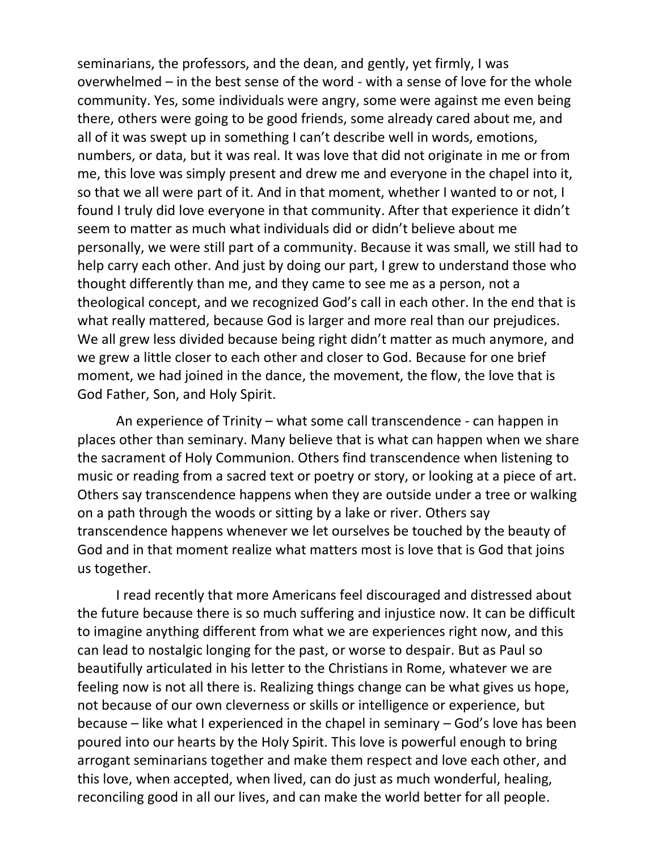seminarians, the professors, and the dean, and gently, yet firmly, I was overwhelmed – in the best sense of the word - with a sense of love for the whole community. Yes, some individuals were angry, some were against me even being there, others were going to be good friends, some already cared about me, and all of it was swept up in something I can't describe well in words, emotions, numbers, or data, but it was real. It was love that did not originate in me or from me, this love was simply present and drew me and everyone in the chapel into it, so that we all were part of it. And in that moment, whether I wanted to or not, I found I truly did love everyone in that community. After that experience it didn't seem to matter as much what individuals did or didn't believe about me personally, we were still part of a community. Because it was small, we still had to help carry each other. And just by doing our part, I grew to understand those who thought differently than me, and they came to see me as a person, not a theological concept, and we recognized God's call in each other. In the end that is what really mattered, because God is larger and more real than our prejudices. We all grew less divided because being right didn't matter as much anymore, and we grew a little closer to each other and closer to God. Because for one brief moment, we had joined in the dance, the movement, the flow, the love that is God Father, Son, and Holy Spirit.

An experience of Trinity – what some call transcendence - can happen in places other than seminary. Many believe that is what can happen when we share the sacrament of Holy Communion. Others find transcendence when listening to music or reading from a sacred text or poetry or story, or looking at a piece of art. Others say transcendence happens when they are outside under a tree or walking on a path through the woods or sitting by a lake or river. Others say transcendence happens whenever we let ourselves be touched by the beauty of God and in that moment realize what matters most is love that is God that joins us together.

I read recently that more Americans feel discouraged and distressed about the future because there is so much suffering and injustice now. It can be difficult to imagine anything different from what we are experiences right now, and this can lead to nostalgic longing for the past, or worse to despair. But as Paul so beautifully articulated in his letter to the Christians in Rome, whatever we are feeling now is not all there is. Realizing things change can be what gives us hope, not because of our own cleverness or skills or intelligence or experience, but because – like what I experienced in the chapel in seminary – God's love has been poured into our hearts by the Holy Spirit. This love is powerful enough to bring arrogant seminarians together and make them respect and love each other, and this love, when accepted, when lived, can do just as much wonderful, healing, reconciling good in all our lives, and can make the world better for all people.